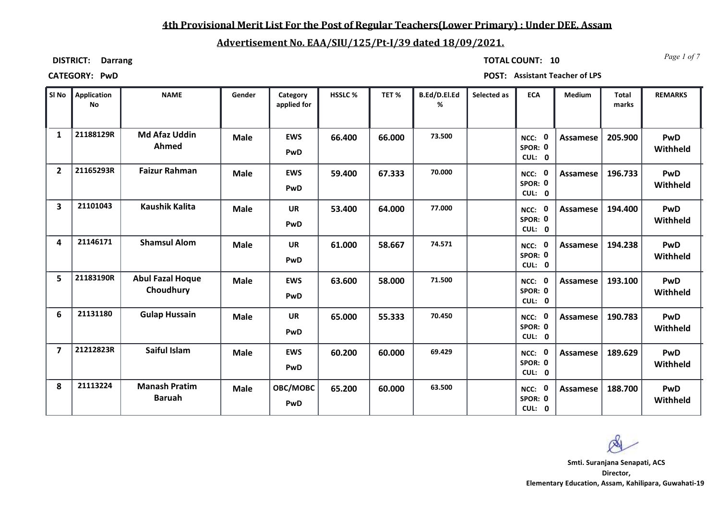### **4th Provisional Merit List For the Post of Regular Teachers(Lower Primary) : Under DEE, Assam**

## **Advertisement No. EAA/SIU/125/Pt-I/39 dated 18/09/2021.**

**DISTRICT: Darrang**

*Page 1 of 7* **TOTAL COUNT: 10**

**CATEGORY: PwD POST: Assistant Teacher of LPS**

| SI No          | Application<br><b>No</b> | <b>NAME</b>                           | Gender      | Category<br>applied for | HSSLC % | TET%   | B.Ed/D.El.Ed<br>% | Selected as | <b>ECA</b>                                  | Medium          | <b>Total</b><br>marks | <b>REMARKS</b>         |
|----------------|--------------------------|---------------------------------------|-------------|-------------------------|---------|--------|-------------------|-------------|---------------------------------------------|-----------------|-----------------------|------------------------|
| $\mathbf{1}$   | 21188129R                | <b>Md Afaz Uddin</b><br>Ahmed         | <b>Male</b> | <b>EWS</b><br>PwD       | 66.400  | 66.000 | 73.500            |             | $\mathbf 0$<br>$NCC$ :<br>SPOR: 0<br>CUL: 0 | Assamese        | 205.900               | <b>PwD</b><br>Withheld |
| $\overline{2}$ | 21165293R                | <b>Faizur Rahman</b>                  | <b>Male</b> | <b>EWS</b><br>PwD       | 59.400  | 67.333 | 70.000            |             | NCC: 0<br>SPOR: 0<br>CUL: 0                 | <b>Assamese</b> | 196.733               | PwD<br>Withheld        |
| 3              | 21101043                 | <b>Kaushik Kalita</b>                 | <b>Male</b> | <b>UR</b><br>PwD        | 53.400  | 64.000 | 77.000            |             | NCC: 0<br>SPOR: 0<br>CUL: 0                 | Assamese        | 194.400               | <b>PwD</b><br>Withheld |
| 4              | 21146171                 | <b>Shamsul Alom</b>                   | <b>Male</b> | <b>UR</b><br>PwD        | 61.000  | 58.667 | 74.571            |             | NCC: 0<br>SPOR: 0<br>CUL: 0                 | Assamese        | 194.238               | <b>PwD</b><br>Withheld |
| 5              | 21183190R                | <b>Abul Fazal Hoque</b><br>Choudhury  | <b>Male</b> | <b>EWS</b><br>PwD       | 63.600  | 58.000 | 71.500            |             | $\mathbf{0}$<br>NCC:<br>SPOR: 0<br>CUL: 0   | Assamese        | 193.100               | PwD<br>Withheld        |
| 6              | 21131180                 | <b>Gulap Hussain</b>                  | <b>Male</b> | <b>UR</b><br>PwD        | 65.000  | 55.333 | 70.450            |             | NCC: 0<br>SPOR: 0<br>CUL: 0                 | <b>Assamese</b> | 190.783               | <b>PwD</b><br>Withheld |
| $\overline{7}$ | 21212823R                | Saiful Islam                          | <b>Male</b> | <b>EWS</b><br>PwD       | 60.200  | 60.000 | 69.429            |             | $\mathbf 0$<br>NCC:<br>SPOR: 0<br>CUL: 0    | Assamese        | 189.629               | <b>PwD</b><br>Withheld |
| 8              | 21113224                 | <b>Manash Pratim</b><br><b>Baruah</b> | <b>Male</b> | OBC/MOBC<br>PwD         | 65.200  | 60.000 | 63.500            |             | $\mathbf{0}$<br>NCC:<br>SPOR: 0<br>CUL: 0   | Assamese        | 188.700               | PwD<br>Withheld        |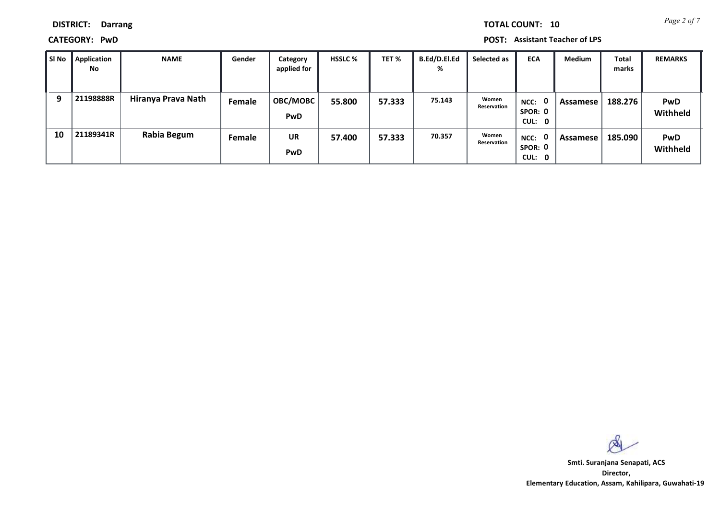*Page 2 of 7* **TOTAL COUNT: 10**

**DISTRICT: Darrang**

**CATEGORY: PwD POST: Assistant Teacher of LPS**

| SI No | Application<br>No | <b>NAME</b>        | Gender | Category<br>applied for       | <b>HSSLC %</b> | TET %  | B.Ed/D.El.Ed<br>% | Selected as          | <b>ECA</b>                    | <b>Medium</b> | <b>Total</b><br>marks | <b>REMARKS</b>         |
|-------|-------------------|--------------------|--------|-------------------------------|----------------|--------|-------------------|----------------------|-------------------------------|---------------|-----------------------|------------------------|
| 9     | 21198888R         | Hiranya Prava Nath | Female | <b>OBC/MOBC</b><br><b>PwD</b> | 55.800         | 57.333 | 75.143            | Women<br>Reservation | $NCC:$ 0<br>SPOR: 0<br>CUL: 0 | Assamese      | 188.276               | <b>PwD</b><br>Withheld |
| 10    | 21189341R         | Rabia Begum        | Female | UR<br><b>PwD</b>              | 57.400         | 57.333 | 70.357            | Women<br>Reservation | NCC: 0<br>SPOR: 0<br>CUL: 0   | Assamese      | 185.090               | <b>PwD</b><br>Withheld |

 $\infty$ 

**Director, Elementary Education, Assam, Kahilipara, Guwahati-19 Smti. Suranjana Senapati, ACS**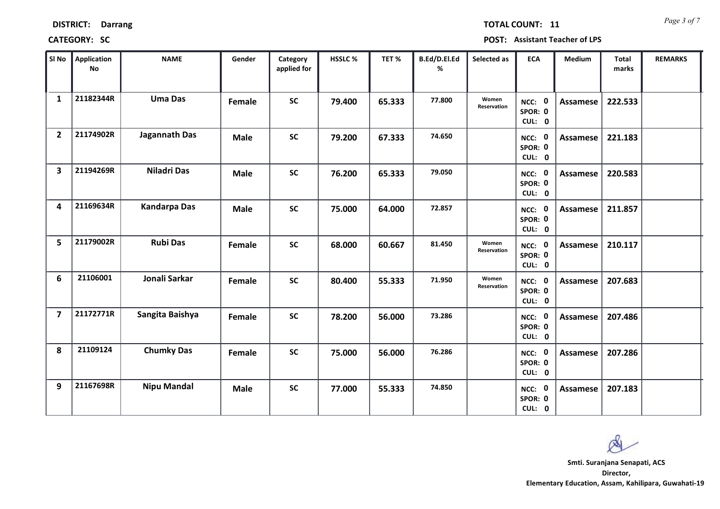| <b>DISTRICT:</b> | <b>Darrang</b> |
|------------------|----------------|
|------------------|----------------|

*Page 3 of 7* **TOTAL COUNT: 11**

**CATEGORY: SC POST: Assistant Teacher of LPS**

| SI No                   | <b>Application</b><br>No | <b>NAME</b>         | Gender      | Category<br>applied for | HSSLC % | TET%   | B.Ed/D.El.Ed<br>% | Selected as          | <b>ECA</b>                  | <b>Medium</b>   | <b>Total</b><br>marks | <b>REMARKS</b> |
|-------------------------|--------------------------|---------------------|-------------|-------------------------|---------|--------|-------------------|----------------------|-----------------------------|-----------------|-----------------------|----------------|
| $\mathbf{1}$            | 21182344R                | <b>Uma Das</b>      | Female      | <b>SC</b>               | 79.400  | 65.333 | 77.800            | Women<br>Reservation | NCC: 0<br>SPOR: 0<br>CUL: 0 | <b>Assamese</b> | 222.533               |                |
| $\overline{2}$          | 21174902R                | Jagannath Das       | <b>Male</b> | <b>SC</b>               | 79.200  | 67.333 | 74.650            |                      | NCC: 0<br>SPOR: 0<br>CUL: 0 | <b>Assamese</b> | 221.183               |                |
| $\overline{\mathbf{3}}$ | 21194269R                | <b>Niladri Das</b>  | <b>Male</b> | <b>SC</b>               | 76.200  | 65.333 | 79.050            |                      | NCC: 0<br>SPOR: 0<br>CUL: 0 | <b>Assamese</b> | 220.583               |                |
| 4                       | 21169634R                | <b>Kandarpa Das</b> | <b>Male</b> | <b>SC</b>               | 75.000  | 64.000 | 72.857            |                      | NCC: 0<br>SPOR: 0<br>CUL: 0 | <b>Assamese</b> | 211.857               |                |
| 5                       | 21179002R                | <b>Rubi Das</b>     | Female      | <b>SC</b>               | 68.000  | 60.667 | 81.450            | Women<br>Reservation | NCC: 0<br>SPOR: 0<br>CUL: 0 | Assamese        | 210.117               |                |
| 6                       | 21106001                 | Jonali Sarkar       | Female      | <b>SC</b>               | 80.400  | 55.333 | 71.950            | Women<br>Reservation | NCC: 0<br>SPOR: 0<br>CUL: 0 | <b>Assamese</b> | 207.683               |                |
| $\overline{7}$          | 21172771R                | Sangita Baishya     | Female      | <b>SC</b>               | 78.200  | 56.000 | 73.286            |                      | NCC: 0<br>SPOR: 0<br>CUL: 0 | Assamese        | 207.486               |                |
| 8                       | 21109124                 | <b>Chumky Das</b>   | Female      | <b>SC</b>               | 75.000  | 56.000 | 76.286            |                      | NCC: 0<br>SPOR: 0<br>CUL: 0 | <b>Assamese</b> | 207.286               |                |
| 9                       | 21167698R                | <b>Nipu Mandal</b>  | <b>Male</b> | <b>SC</b>               | 77.000  | 55.333 | 74.850            |                      | NCC: 0<br>SPOR: 0<br>CUL: 0 | Assamese        | 207.183               |                |

 $\infty$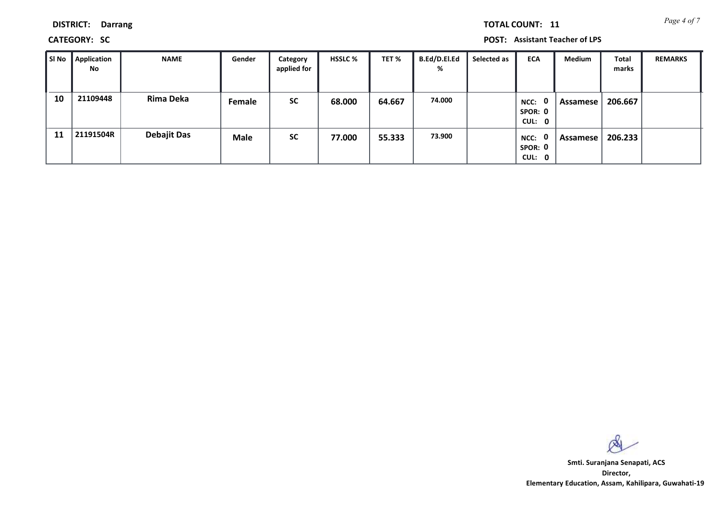**DISTRICT: Darrang**

**CATEGORY: SC POST: Assistant Teacher of LPS**

| SI No | <b>Application</b><br>No | <b>NAME</b>        | Gender      | Category<br>applied for | <b>HSSLC %</b> | TET %  | <b>B.Ed/D.El.Ed</b><br>% | Selected as | <b>ECA</b>                                | Medium   | <b>Total</b><br>marks | <b>REMARKS</b> |
|-------|--------------------------|--------------------|-------------|-------------------------|----------------|--------|--------------------------|-------------|-------------------------------------------|----------|-----------------------|----------------|
| 10    | 21109448                 | <b>Rima Deka</b>   | Female      | <b>SC</b>               | 68.000         | 64.667 | 74.000                   |             | 0<br>NCC:<br>SPOR: 0<br>CUL: 0            | Assamese | 206.667               |                |
| 11    | 21191504R                | <b>Debajit Das</b> | <b>Male</b> | <b>SC</b>               | 77.000         | 55.333 | 73.900                   |             | $\mathbf{0}$<br>NCC:<br>SPOR: 0<br>CUL: 0 | Assamese | 206.233               |                |

 $\infty$ 

**Director, Elementary Education, Assam, Kahilipara, Guwahati-19 Smti. Suranjana Senapati, ACS**

*Page 4 of 7* **TOTAL COUNT: 11**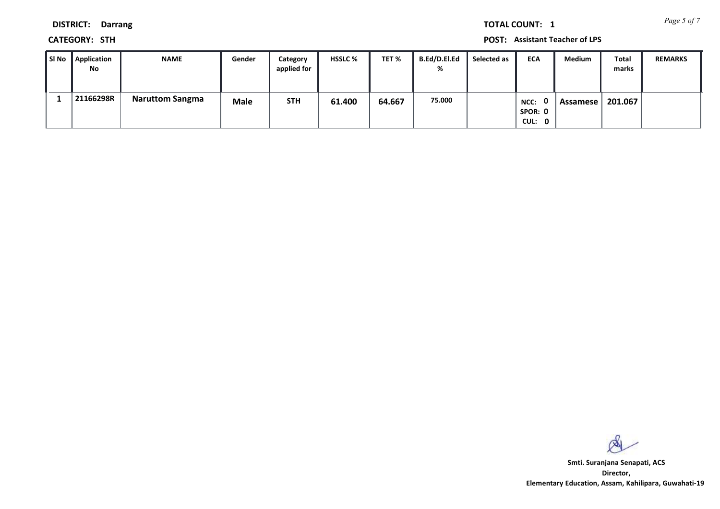*Page 5 of 7* **TOTAL COUNT: 1**

**DISTRICT: Darrang**

**CATEGORY: STH POST: Assistant Teacher of LPS**

| ∥ SI No | Application<br><b>No</b> | <b>NAME</b>            | Gender      | Category<br>applied for | <b>HSSLC %</b> | TET %  | <b>B.Ed/D.El.Ed</b><br>% | Selected as | <b>ECA</b>                | <b>Medium</b> | Total<br>marks | <b>REMARKS</b> |
|---------|--------------------------|------------------------|-------------|-------------------------|----------------|--------|--------------------------|-------------|---------------------------|---------------|----------------|----------------|
|         | 21166298R                | <b>Naruttom Sangma</b> | <b>Male</b> | <b>STH</b>              | 61.400         | 64.667 | 75.000                   |             | NCC:<br>SPOR: 0<br>CUL: 0 | Assamese      | 201.067        |                |

 $\infty$ 

**Director, Elementary Education, Assam, Kahilipara, Guwahati-19 Smti. Suranjana Senapati, ACS**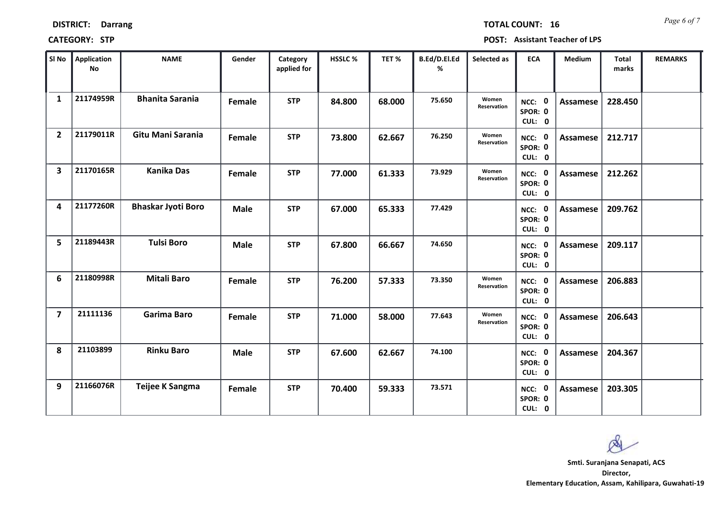| SI No          | <b>Application</b><br><b>No</b> | <b>NAME</b>               | Gender        | Category<br>applied for | HSSLC% | TET%   | B.Ed/D.El.Ed<br>% | Selected as          | <b>ECA</b>                  | Medium          | Total<br>marks | <b>REMARKS</b> |
|----------------|---------------------------------|---------------------------|---------------|-------------------------|--------|--------|-------------------|----------------------|-----------------------------|-----------------|----------------|----------------|
| $\mathbf{1}$   | 21174959R                       | <b>Bhanita Sarania</b>    | <b>Female</b> | <b>STP</b>              | 84.800 | 68.000 | 75.650            | Women<br>Reservation | NCC: 0<br>SPOR: 0<br>CUL: 0 | <b>Assamese</b> | 228.450        |                |
| $\overline{2}$ | 21179011R                       | Gitu Mani Sarania         | Female        | <b>STP</b>              | 73.800 | 62.667 | 76.250            | Women<br>Reservation | NCC: 0<br>SPOR: 0<br>CUL: 0 | Assamese        | 212.717        |                |
| 3              | 21170165R                       | <b>Kanika Das</b>         | Female        | <b>STP</b>              | 77.000 | 61.333 | 73.929            | Women<br>Reservation | NCC: 0<br>SPOR: 0<br>CUL: 0 | Assamese        | 212.262        |                |
| 4              | 21177260R                       | <b>Bhaskar Jyoti Boro</b> | Male          | <b>STP</b>              | 67.000 | 65.333 | 77.429            |                      | NCC: 0<br>SPOR: 0<br>CUL: 0 | Assamese        | 209.762        |                |
| 5              | 21189443R                       | <b>Tulsi Boro</b>         | <b>Male</b>   | <b>STP</b>              | 67.800 | 66.667 | 74.650            |                      | NCC: 0<br>SPOR: 0<br>CUL: 0 | <b>Assamese</b> | 209.117        |                |
| 6              | 21180998R                       | <b>Mitali Baro</b>        | <b>Female</b> | <b>STP</b>              | 76.200 | 57.333 | 73.350            | Women<br>Reservation | NCC: 0<br>SPOR: 0<br>CUL: 0 | <b>Assamese</b> | 206.883        |                |
| $\overline{7}$ | 21111136                        | <b>Garima Baro</b>        | <b>Female</b> | <b>STP</b>              | 71.000 | 58.000 | 77.643            | Women<br>Reservation | NCC: 0<br>SPOR: 0<br>CUL: 0 | <b>Assamese</b> | 206.643        |                |
| 8              | 21103899                        | <b>Rinku Baro</b>         | <b>Male</b>   | <b>STP</b>              | 67.600 | 62.667 | 74.100            |                      | NCC: 0<br>SPOR: 0<br>CUL: 0 | <b>Assamese</b> | 204.367        |                |
| 9              | 21166076R                       | Teijee K Sangma           | <b>Female</b> | <b>STP</b>              | 70.400 | 59.333 | 73.571            |                      | NCC: 0<br>SPOR: 0<br>CUL: 0 | <b>Assamese</b> | 203.305        |                |

**DISTRICT: Darrang**

### **CATEGORY: STP POST: Assistant Teacher of LPS**

*Page 6 of 7* **TOTAL COUNT: 16**

**Director, Elementary Education, Assam, Kahilipara, Guwahati-19 Smti. Suranjana Senapati, ACS**